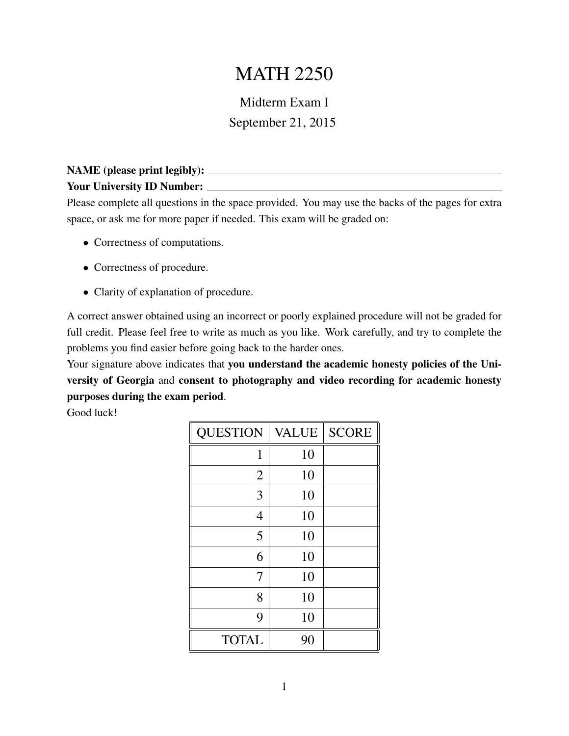## MATH 2250

## Midterm Exam I September 21, 2015

## NAME (please print legibly): Your University ID Number: \_\_\_\_\_\_\_\_

Please complete all questions in the space provided. You may use the backs of the pages for extra space, or ask me for more paper if needed. This exam will be graded on:

- Correctness of computations.
- Correctness of procedure.
- Clarity of explanation of procedure.

A correct answer obtained using an incorrect or poorly explained procedure will not be graded for full credit. Please feel free to write as much as you like. Work carefully, and try to complete the problems you find easier before going back to the harder ones.

Your signature above indicates that you understand the academic honesty policies of the University of Georgia and consent to photography and video recording for academic honesty purposes during the exam period.

Good luck!

| <b>QUESTION</b> | <b>VALUE</b> | <b>SCORE</b> |
|-----------------|--------------|--------------|
| 1               | 10           |              |
| $\overline{2}$  | 10           |              |
| 3               | 10           |              |
| $\overline{4}$  | 10           |              |
| 5               | 10           |              |
| 6               | 10           |              |
| 7               | 10           |              |
| 8               | 10           |              |
| 9               | 10           |              |
| <b>TOTAL</b>    | 90           |              |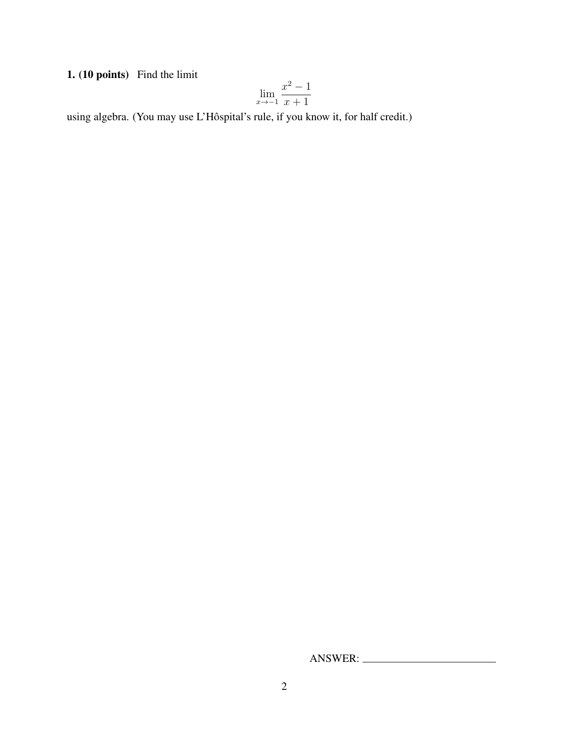1. (10 points) Find the limit

$$
\lim_{x \to -1} \frac{x^2 - 1}{x + 1}
$$

using algebra. (You may use L'Hôspital's rule, if you know it, for half credit.)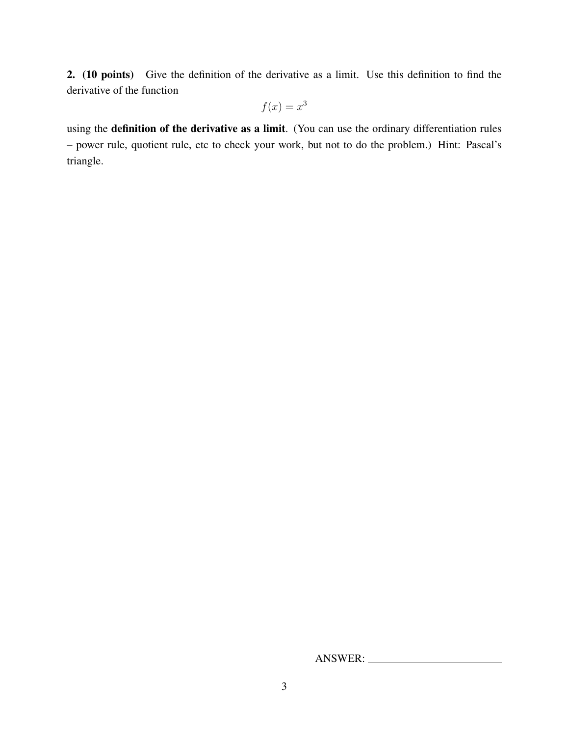2. (10 points) Give the definition of the derivative as a limit. Use this definition to find the derivative of the function

$$
f(x) = x^3
$$

using the definition of the derivative as a limit. (You can use the ordinary differentiation rules – power rule, quotient rule, etc to check your work, but not to do the problem.) Hint: Pascal's triangle.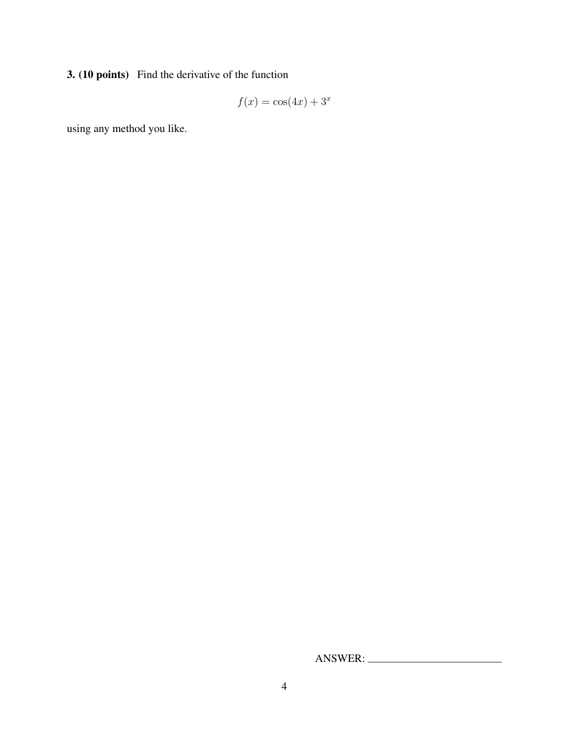3. (10 points) Find the derivative of the function

$$
f(x) = \cos(4x) + 3^x
$$

using any method you like.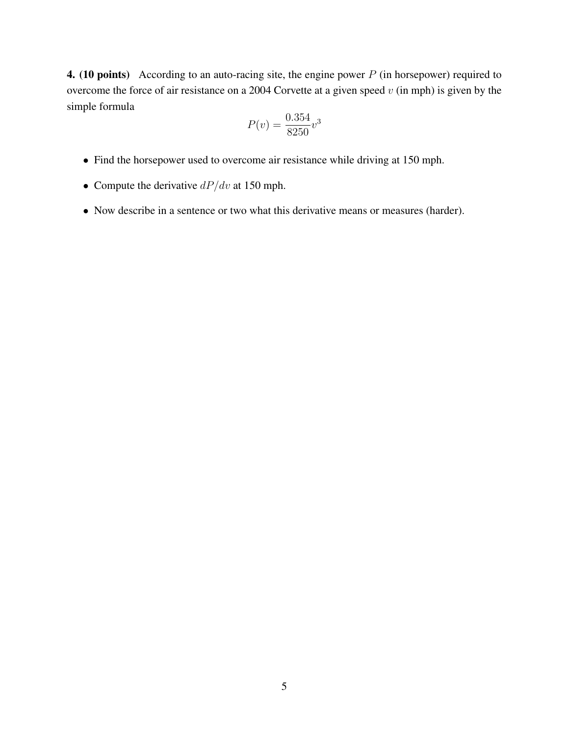**4.** (10 points) According to an auto-racing site, the engine power  $P$  (in horsepower) required to overcome the force of air resistance on a 2004 Corvette at a given speed  $v$  (in mph) is given by the simple formula

$$
P(v) = \frac{0.354}{8250}v^3
$$

- Find the horsepower used to overcome air resistance while driving at 150 mph.
- Compute the derivative  $dP/dv$  at 150 mph.
- Now describe in a sentence or two what this derivative means or measures (harder).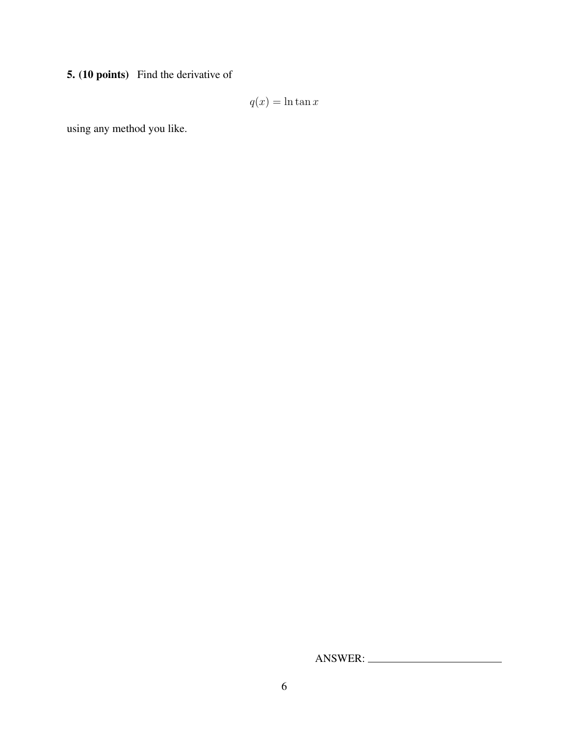5. (10 points) Find the derivative of

 $q(x) = \ln \tan x$ 

using any method you like.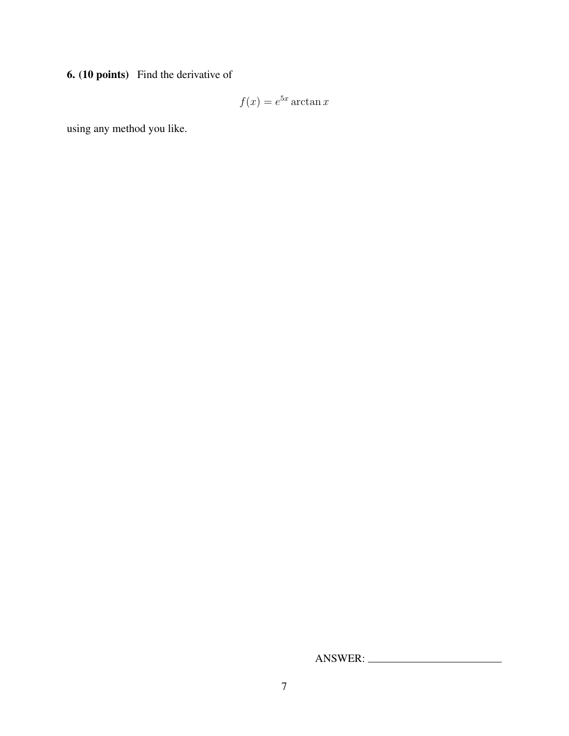6. (10 points) Find the derivative of

$$
f(x) = e^{5x} \arctan x
$$

using any method you like.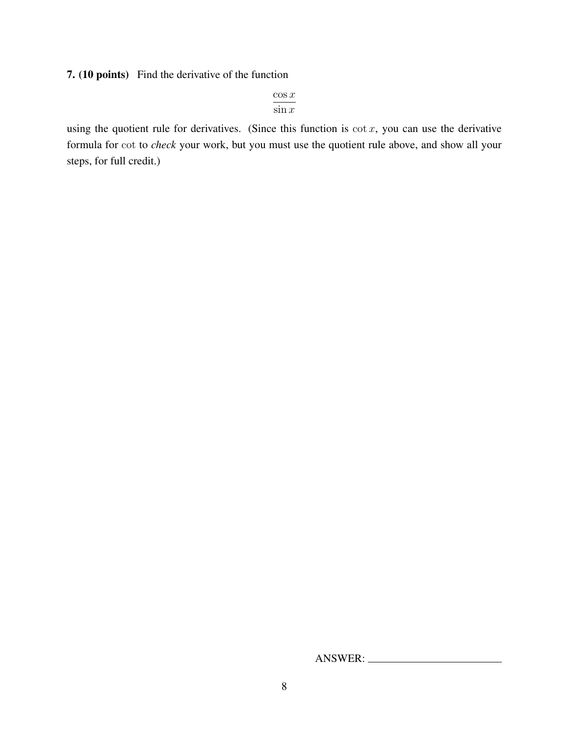7. (10 points) Find the derivative of the function

 $\cos x$  $\sin x$ 

using the quotient rule for derivatives. (Since this function is  $\cot x$ , you can use the derivative formula for cot to *check* your work, but you must use the quotient rule above, and show all your steps, for full credit.)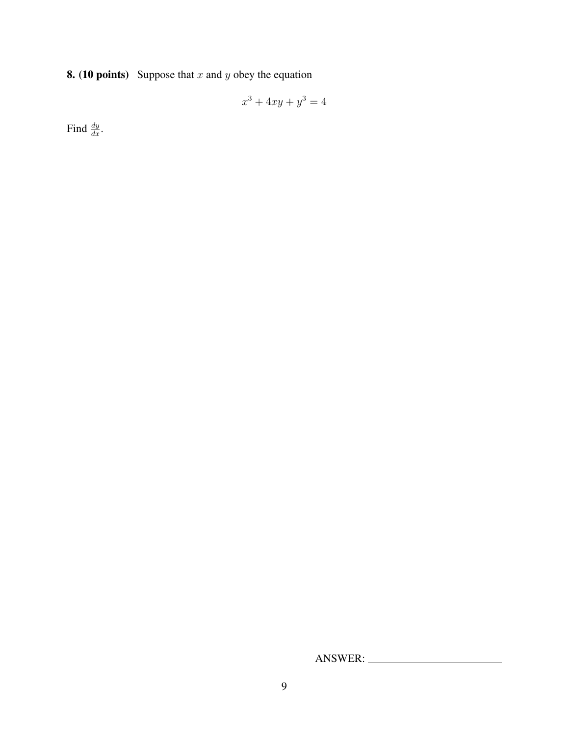**8.** (10 points) Suppose that  $x$  and  $y$  obey the equation

$$
x^3 + 4xy + y^3 = 4
$$

Find  $\frac{dy}{dx}$ .